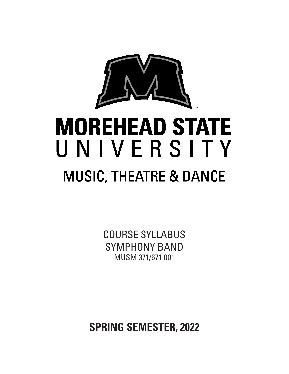

# **MOREHEAD STATE** UNIVERSITY

## **MUSIC, THEATRE & DANCE**

COURSE SYLLABUS SYMPHONY BAND MUSM 371/671 001

**SPRING SEMESTER, 2022**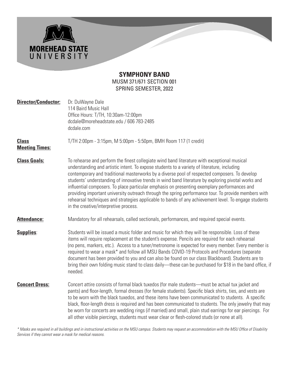#### **SYMPHONY BAND** MUSM 371/671 SECTION 001 SPRING SEMESTER, 2022

**MOREHEAD STATE**<br>U N I V E R S I T Y

| <b>Director/Conductor:</b>            | Dr. DuWayne Dale<br>114 Baird Music Hall<br>Office Hours: T/TH, 10:30am-12:00pm<br>dcdale@moreheadstate.edu / 606 783-2485<br>dcdale.com                                                                                                                                                                                                                                                                                                                                                                                                                                                                                                                                                                                                                    |  |
|---------------------------------------|-------------------------------------------------------------------------------------------------------------------------------------------------------------------------------------------------------------------------------------------------------------------------------------------------------------------------------------------------------------------------------------------------------------------------------------------------------------------------------------------------------------------------------------------------------------------------------------------------------------------------------------------------------------------------------------------------------------------------------------------------------------|--|
| <b>Class</b><br><b>Meeting Times:</b> | T/TH 2:00pm - 3:15pm, M 5:00pm - 5:50pm, BMH Room 117 (1 credit)                                                                                                                                                                                                                                                                                                                                                                                                                                                                                                                                                                                                                                                                                            |  |
| <b>Class Goals:</b>                   | To rehearse and perform the finest collegiate wind band literature with exceptional musical<br>understanding and artistic intent. To expose students to a variety of literature, including<br>contemporary and traditional masterworks by a diverse pool of respected composers. To develop<br>students' understanding of innovative trends in wind band literature by exploring pivotal works and<br>influential composers. To place particular emphasis on presenting exemplary performances and<br>providing important university outreach through the spring performance tour. To provide members with<br>rehearsal techniques and strategies applicable to bands of any achievement level. To engage students<br>in the creative/interpretive process. |  |
| <b>Attendance:</b>                    | Mandatory for all rehearsals, called sectionals, performances, and required special events.                                                                                                                                                                                                                                                                                                                                                                                                                                                                                                                                                                                                                                                                 |  |
| <b>Supplies:</b>                      | Students will be issued a music folder and music for which they will be responsible. Loss of these<br>items will require replacement at the student's expense. Pencils are required for each rehearsal<br>(no pens, markers, etc.). Access to a tuner/metronome is expected for every member. Every member is<br>required to wear a mask* and follow all MSU Bands COVID-19 Protocols and Procedures (separate<br>document has been provided to you and can also be found on our class Blackboard). Students are to<br>bring their own folding music stand to class daily—these can be purchased for \$18 in the band office, if<br>needed.                                                                                                                 |  |
| <b>Concert Dress:</b>                 | Concert attire consists of formal black tuxedos (for male students—must be actual tux jacket and<br>pants) and floor-length, formal dresses (for female students). Specific black shirts, ties, and vests are<br>to be worn with the black tuxedos, and these items have been communicated to students. A specific<br>black, floor-length dress is required and has been communicated to students. The only jewelry that may<br>be worn for concerts are wedding rings (if married) and small, plain stud earrings for ear piercings. For<br>all other visible piercings, students must wear clear or flesh-colored studs (or none at all).                                                                                                                 |  |

*\* Masks are required in all buildings and in instructional activities on the MSU campus. Students may request an accommodation with the MSU Office of Disability Services if they cannot wear a mask for medical reasons.*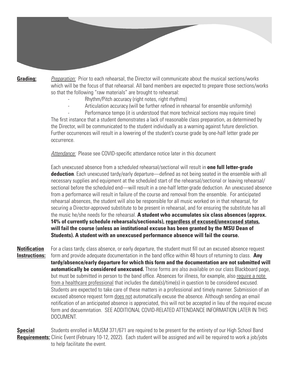**Grading:** *Preparation:* Prior to each rehearsal, the Director will communicate about the musical sections/works which will be the focus of that rehearsal. All band members are expected to prepare those sections/works so that the following "raw materials" are brought to rehearsal:

- Rhythm/Pitch accuracy (right notes, right rhythms)
- Articulation accuracy (will be further refined in rehearsal for ensemble uniformity)

Performance tempo (it is understood that more technical sections may require time) The first instance that a student demonstrates a lack of reasonable class preparation, as determined by the Director, will be communicated to the student individually as a warning against future dereliction. Further occurrences will result in a lowering of the student's course grade by one-half letter grade per occurrence.

*Attendance:* Please see COVID-specific attendance notice later in this document

 Each unexcused absence from a scheduled rehearsal/sectional will result in **one full letter-grade deduction**. Each unexcused tardy/early departure—defined as not being seated in the ensemble with all necessary supplies and equipment at the scheduled start of the rehearsal/sectional or leaving rehearsal/ sectional before the scheduled end—will result in a one-half letter-grade deduction. An unexcused absence from a performance will result in failure of the course and removal from the ensemble. For anticipated rehearsal absences, the student will also be responsible for all music worked on in that rehearsal, for securing a Director-approved substitute to be present in rehearsal, and for ensuring the substitute has all the music he/she needs for the rehearsal. **A student who accumulates six class absences (approx. 14% of currently schedule rehearsals/sectionals), regardless of excused/unexcused status, will fail the course (unless an institutional excuse has been granted by the MSU Dean of Students). A student with an unexcused performance absence will fail the course.**

**Notification** For a class tardy, class absence, or early departure, the student must fill out an excused absence request **Instructions:** form and provide adequate documentation in the band office within 48 hours of returning to class. Any  **tardy/absence/early departure for which this form and the documentation are not submitted will automatically be considered unexcused.** These forms are also available on our class Blackboard page, but must be submitted in person to the band office. Absences for illness, for example, also require a note from a healthcare professional that includes the date(s)/time(s) in question to be considered excused. Students are expected to take care of these matters in a professional and timely manner. Submission of an excused absence request form does not automatically excuse the absence. Although sending an email notification of an anticipated absence is appreciated, this will not be accepted in lieu of the required excuse form and docuemntation. SEE ADDITIONAL COVID-RELATED ATTENDANCE INFORMATION LATER IN THIS DOCUMENT.

**Special** Students enrolled in MUSM 371/671 are required to be present for the entirety of our High School Band **Requirements:** Clinic Event (February 10-12, 2022). Each student will be assigned and will be required to work a job/jobs to help facilitate the event.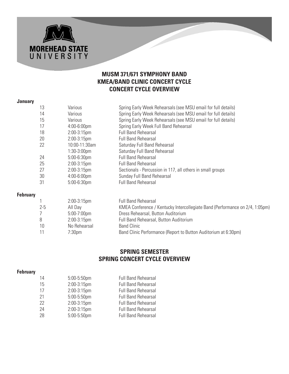#### **MUSM 371/671 SYMPHONY BAND KMEA/BAND CLINIC CONCERT CYCLE CONCERT CYCLE OVERVIEW**

#### **January**

**MOREHEAD STATE**<br>U N I V E R S I T Y

|                 | 13 | Various                        | Spring Early Week Rehearsals (see MSU email for full details)              |
|-----------------|----|--------------------------------|----------------------------------------------------------------------------|
|                 | 14 | Various                        | Spring Early Week Rehearsals (see MSU email for full details)              |
|                 | 15 | Various                        | Spring Early Week Rehearsals (see MSU email for full details)              |
|                 | 17 | $4:00-6:00$ pm                 | Spring Early Week Full Band Rehearsal                                      |
|                 | 18 | $2:00-3:15$ pm                 | <b>Full Band Rehearsal</b>                                                 |
|                 | 20 | $2:00-3:15$ pm                 | <b>Full Band Rehearsal</b>                                                 |
|                 | 22 | 10:00-11:30am                  | Saturday Full Band Rehearsal                                               |
|                 |    | $1:30-3:00$ pm                 | Saturday Full Band Rehearsal                                               |
|                 | 24 | $5:00-6:30$ pm                 | <b>Full Band Rehearsal</b>                                                 |
|                 | 25 | $2:00-3:15$ pm                 | <b>Full Band Rehearsal</b>                                                 |
|                 | 27 | $2:00-3:15$ pm                 | Sectionals - Percussion in 117, all others in small groups                 |
|                 | 30 | $4:00-6:00$ pm                 | Sunday Full Band Rehearsal                                                 |
|                 | 31 | $5:00-6:30$ pm                 | <b>Full Band Rehearsal</b>                                                 |
| <b>February</b> |    |                                |                                                                            |
|                 |    | $2:00-3:15$ pm                 | <b>Full Band Rehearsal</b>                                                 |
|                 | クに | $\triangle$ II D <sub>21</sub> | KNAEA Conference / Kontucky Intercellegiate Rand (Berfermance on 2/4 1:05r |

|         | $L.00$ $U.1$   | . uu Dunu nunuunuu                                                           |
|---------|----------------|------------------------------------------------------------------------------|
| $2 - 5$ | All Day        | KMEA Conference / Kentucky Intercollegiate Band (Performance on 2/4, 1:05pm) |
|         | $5:00-7:00$ pm | Dress Rehearsal, Button Auditorium                                           |
|         | $2:00-3:15$ pm | Full Band Rehearsal, Button Auditorium                                       |
| 10      | No Rehearsal   | <b>Band Clinic</b>                                                           |
|         | 7:30pm         | Band Clinic Performance (Report to Button Auditorium at 6:30pm)              |

#### **SPRING SEMESTER SPRING CONCERT CYCLE OVERVIEW**

#### **February**

| 14 | $5:00-5:50$ pm | <b>Full Band Rehearsal</b> |
|----|----------------|----------------------------|
| 15 | 2:00-3:15pm    | <b>Full Band Rehearsal</b> |
| 17 | 2:00-3:15pm    | <b>Full Band Rehearsal</b> |
| 21 | $5:00-5:50$ pm | <b>Full Band Rehearsal</b> |
| 22 | 2:00-3:15pm    | <b>Full Band Rehearsal</b> |
| 24 | 2:00-3:15pm    | <b>Full Band Rehearsal</b> |
| 28 | 5:00-5:50pm    | <b>Full Band Rehearsal</b> |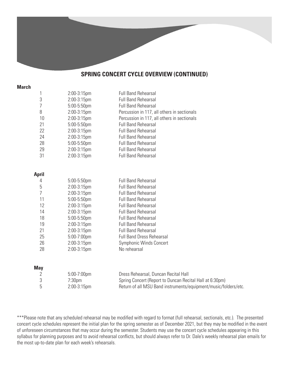#### **SPRING CONCERT CYCLE OVERVIEW (CONTINUED)**

#### **March**

| 1              | 2:00-3:15pm | <b>Full Band Rehearsal</b>                                      |
|----------------|-------------|-----------------------------------------------------------------|
| 3              | 2:00-3:15pm | <b>Full Band Rehearsal</b>                                      |
| 7              | 5:00-5:50pm | <b>Full Band Rehearsal</b>                                      |
| 8              | 2:00-3:15pm | Percussion in 117, all others in sectionals                     |
| 10             | 2:00-3:15pm | Percussion in 117, all others in sectionals                     |
| 21             | 5:00-5:50pm | <b>Full Band Rehearsal</b>                                      |
| 22             | 2:00-3:15pm | <b>Full Band Rehearsal</b>                                      |
| 24             | 2:00-3:15pm | <b>Full Band Rehearsal</b>                                      |
| 28             | 5:00-5:50pm | <b>Full Band Rehearsal</b>                                      |
| 29             | 2:00-3:15pm | <b>Full Band Rehearsal</b>                                      |
| 31             | 2:00-3:15pm | <b>Full Band Rehearsal</b>                                      |
|                |             |                                                                 |
| <b>April</b>   |             |                                                                 |
| 4              | 5:00-5:50pm | <b>Full Band Rehearsal</b>                                      |
| 5              | 2:00-3:15pm | <b>Full Band Rehearsal</b>                                      |
| $\overline{7}$ | 2:00-3:15pm | <b>Full Band Rehearsal</b>                                      |
| 11             | 5:00-5:50pm | <b>Full Band Rehearsal</b>                                      |
| 12             | 2:00-3:15pm | <b>Full Band Rehearsal</b>                                      |
| 14             | 2:00-3:15pm | <b>Full Band Rehearsal</b>                                      |
| 18             | 5:00-5:50pm | <b>Full Band Rehearsal</b>                                      |
| 19             | 2:00-3:15pm | <b>Full Band Rehearsal</b>                                      |
| 21             | 2:00-3:15pm | <b>Full Band Rehearsal</b>                                      |
| 25             | 5:00-7:00pm | <b>Full Band Dress Rehearsal</b>                                |
| 26             | 2:00-3:15pm | Symphonic Winds Concert                                         |
| 28             | 2:00-3:15pm | No rehearsal                                                    |
|                |             |                                                                 |
| <b>May</b>     |             |                                                                 |
| 2              | 5:00-7:00pm | Dress Rehearsal, Duncan Recital Hall                            |
| 3              | 7:30pm      | Spring Concert (Report to Duncan Recital Hall at 6:30pm)        |
| 5              | 2:00-3:15pm | Return of all MSU Band instruments/equipment/music/folders/etc. |

\*\*\*Please note that any scheduled rehearsal may be modified with regard to format (full rehearsal, sectionals, etc.). The presented concert cycle schedules represent the initial plan for the spring semester as of December 2021, but they may be modified in the event of unforeseen circumstances that may occur during the semester. Students may use the concert cycle schedules appearing in this syllabus for planning purposes and to avoid rehearsal conflicts, but should always refer to Dr. Dale's weekly rehearsal plan emails for the most up-to-date plan for each week's rehearsals.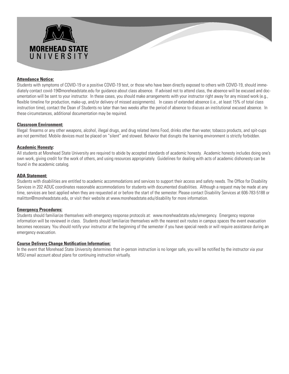

#### **Attendance Notice:**

Students with symptoms of COVID-19 or a positive COVID-19 test, or those who have been directly exposed to others with COVID-19, should immediately contact covid-19@moreheadstate.edu for guidance about class absence. If advised not to attend class, the absence will be excused and documentation will be sent to your instructor. In these cases, you should make arrangements with your instructor right away for any missed work (e.g., flexible timeline for production, make-up, and/or delivery of missed assignments). In cases of extended absence (i.e., at least 15% of total class instruction time), contact the Dean of Students no later than two weeks after the period of absence to discuss an institutional excused absence. In these circumstances, additional documentation may be required.

#### **Classroom Environment:**

Illegal: firearms or any other weapons, alcohol, illegal drugs, and drug related items Food, drinks other than water, tobacco products, and spit-cups are not permitted. Mobile devices must be placed on "silent" and stowed. Behavior that disrupts the learning environment is strictly forbidden.

#### **Academic Honesty:**

All students at Morehead State University are required to abide by accepted standards of academic honesty. Academic honesty includes doing one's own work, giving credit for the work of others, and using resources appropriately. Guidelines for dealing with acts of academic dishonesty can be found in the academic catalog.

#### **ADA Statement:**

Students with disabilities are entitled to academic accommodations and services to support their access and safety needs. The Office for Disability Services in 202 ADUC coordinates reasonable accommodations for students with documented disabilities. Although a request may be made at any time, services are best applied when they are requested at or before the start of the semester. Please contact Disability Services at 606-783-5188 or malitton@moreheadstate.edu, or visit their website at www.moreheadstate.edu/disability for more information.

#### **Emergency Procedures:**

Students should familiarize themselves with emergency response protocols at: www.moreheadstate.edu/emergency. Emergency response information will be reviewed in class. Students should familiarize themselves with the nearest exit routes in campus spaces the event evacuation becomes necessary. You should notify your instructor at the beginning of the semester if you have special needs or will require assistance during an emergency evacuation.

#### **Course Delivery Change Notification Information:**

In the event that Morehead State University determines that in-person instruction is no longer safe, you will be notified by the instructor via your MSU email account about plans for continuing instruction virtually.